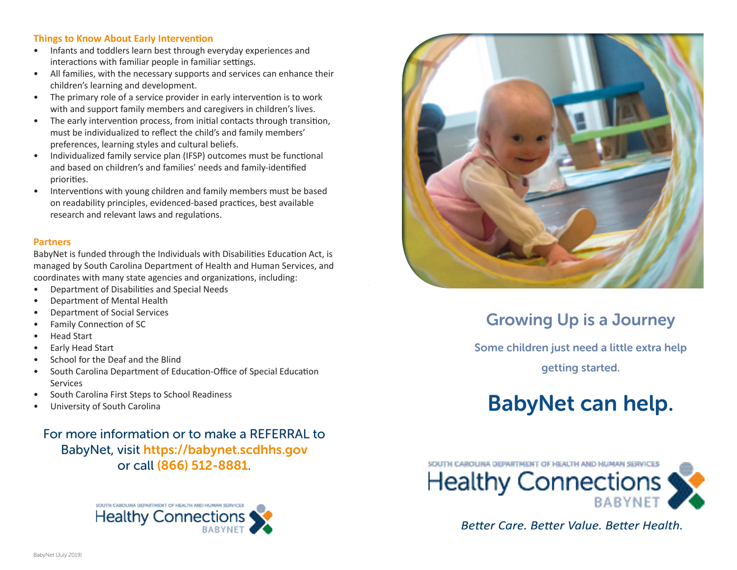#### **Things to Know About Early Intervention**

- Infants and toddlers learn best through everyday experiences and interactions with familiar people in familiar settings.
- All families, with the necessary supports and services can enhance their children's learning and development.
- The primary role of a service provider in early intervention is to work with and support family members and caregivers in children's lives.
- The early intervention process, from initial contacts through transition, must be individualized to reflect the child's and family members' preferences, learning styles and cultural beliefs.
- Individualized family service plan (IFSP) outcomes must be functional and based on children's and families' needs and family-identified priorities.
- Interventions with young children and family members must be based on readability principles, evidenced-based practices, best available research and relevant laws and regulations.

#### **Partners**

BabyNet is funded through the Individuals with Disabilities Education Act, is managed by South Carolina Department of Health and Human Services, and coordinates with many state agencies and organizations, including:

- Department of Disabilities and Special Needs
- Department of Mental Health
- Department of Social Services
- Family Connection of SC
- Head Start
- Early Head Start
- School for the Deaf and the Blind
- South Carolina Department of Education-Office of Special Education Services
- South Carolina First Steps to School Readiness
- University of South Carolina

For more information or to make a REFERRAL to BabyNet, visit https://babynet.scdhhs.gov or call (866) 512-8881.





# Growing Up is a Journey

Some children just need a little extra help getting started.

# BabyNet can help.



Better Care, Better Value, Better Health.